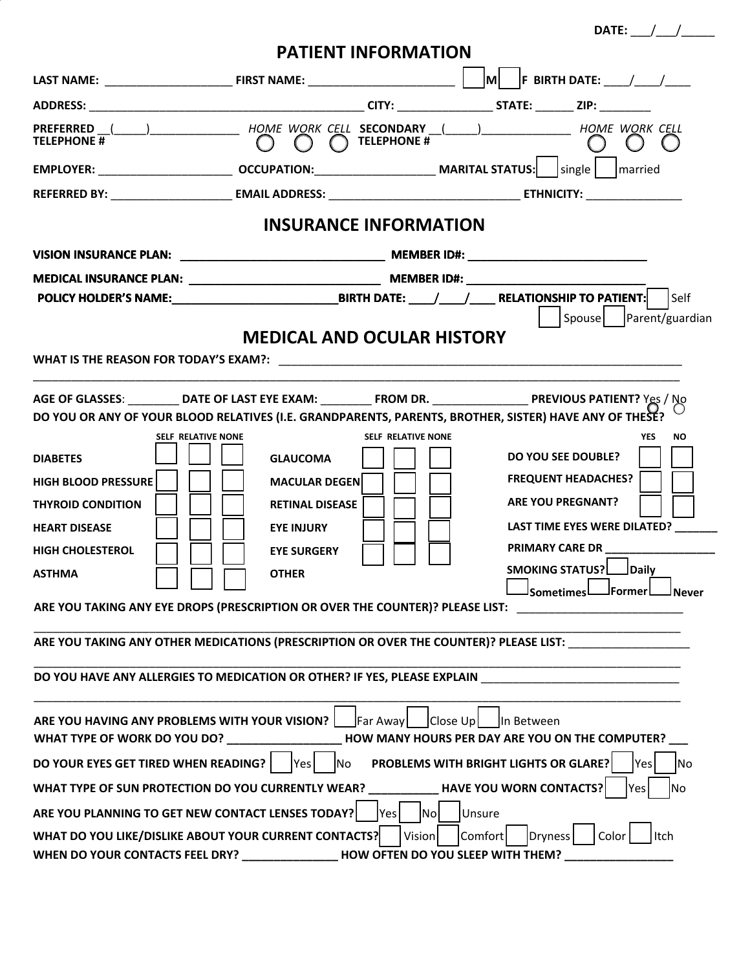|                                                                                                                                      |                                           |                            |                                                 | DATE: $/$ /                  |
|--------------------------------------------------------------------------------------------------------------------------------------|-------------------------------------------|----------------------------|-------------------------------------------------|------------------------------|
|                                                                                                                                      |                                           | <b>PATIENT INFORMATION</b> |                                                 |                              |
|                                                                                                                                      |                                           |                            |                                                 |                              |
|                                                                                                                                      |                                           |                            |                                                 |                              |
| PREFERRED (_____)______________________HOME_WORK_CELL_SECONDARY __(_____)_______________________HOME_WORK_CELL<br><b>TFLFPHONF</b> # | $\bigcap$ $\bigcap$ $\bigcap$ TELEPHONE # |                            |                                                 |                              |
|                                                                                                                                      |                                           |                            |                                                 |                              |
|                                                                                                                                      |                                           |                            |                                                 |                              |
| <b>INSURANCE INFORMATION</b>                                                                                                         |                                           |                            |                                                 |                              |
|                                                                                                                                      |                                           |                            |                                                 |                              |
|                                                                                                                                      |                                           |                            |                                                 |                              |
|                                                                                                                                      |                                           |                            |                                                 |                              |
|                                                                                                                                      |                                           |                            |                                                 | Spouse   Parent/guardian     |
|                                                                                                                                      | <b>MEDICAL AND OCULAR HISTORY</b>         |                            |                                                 |                              |
|                                                                                                                                      |                                           |                            |                                                 |                              |
|                                                                                                                                      |                                           |                            |                                                 |                              |
| AGE OF GLASSES: ___________DATE OF LAST EYE EXAM: ___________ FROM DR. _____________________________ PREVIOUS PATIENT? Yes / No      |                                           |                            |                                                 |                              |
| DO YOU OR ANY OF YOUR BLOOD RELATIVES (I.E. GRANDPARENTS, PARENTS, BROTHER, SISTER) HAVE ANY OF THESE?                               |                                           |                            |                                                 |                              |
| <b>SELF RELATIVE NONE</b>                                                                                                            |                                           | <b>SELF RELATIVE NONE</b>  |                                                 | <b>NO</b><br><b>YES</b>      |
| <b>DIABETES</b>                                                                                                                      | <b>GLAUCOMA</b>                           |                            | <b>DO YOU SEE DOUBLE?</b>                       |                              |
| <b>HIGH BLOOD PRESSURE</b>                                                                                                           | <b>MACULAR DEGEN</b>                      |                            | <b>FREQUENT HEADACHES?</b>                      |                              |
|                                                                                                                                      |                                           |                            |                                                 |                              |
| <b>THYROID CONDITION</b>                                                                                                             | <b>RETINAL DISEASE</b>                    |                            | <b>ARE YOU PREGNANT?</b>                        |                              |
| <b>HEART DISEASE</b>                                                                                                                 | <b>EYE INJURY</b>                         |                            |                                                 | LAST TIME EYES WERE DILATED? |
| <b>HIGH CHOLESTEROL</b>                                                                                                              | <b>EYE SURGERY</b>                        |                            |                                                 |                              |
| <b>ASTHMA</b>                                                                                                                        | <b>OTHER</b>                              |                            | SMOKING STATUS? Daily                           |                              |
|                                                                                                                                      |                                           |                            | <sup>l</sup> Sometimes L                        | JFormer L<br>l Never         |
| ARE YOU TAKING ANY EYE DROPS (PRESCRIPTION OR OVER THE COUNTER)? PLEASE LIST:                                                        |                                           |                            |                                                 |                              |
| ARE YOU TAKING ANY OTHER MEDICATIONS (PRESCRIPTION OR OVER THE COUNTER)? PLEASE LIST:                                                |                                           |                            |                                                 |                              |
|                                                                                                                                      |                                           |                            |                                                 |                              |
| DO YOU HAVE ANY ALLERGIES TO MEDICATION OR OTHER? IF YES, PLEASE EXPLAIN __________________________                                  |                                           |                            |                                                 |                              |
|                                                                                                                                      |                                           |                            |                                                 |                              |
| ARE YOU HAVING ANY PROBLEMS WITH YOUR VISION?                                                                                        |                                           | Far Away<br>Close Up       | In Between                                      |                              |
| WHAT TYPE OF WORK DO YOU DO? ____________________                                                                                    |                                           |                            | HOW MANY HOURS PER DAY ARE YOU ON THE COMPUTER? |                              |
| DO YOUR EYES GET TIRED WHEN READING?                                                                                                 | Yes<br>No                                 |                            | PROBLEMS WITH BRIGHT LIGHTS OR GLARE?           | Yes<br> No                   |
| WHAT TYPE OF SUN PROTECTION DO YOU CURRENTLY WEAR? HAVE YOU WORN CONTACTS?<br><b>No</b><br>Yes                                       |                                           |                            |                                                 |                              |
| ARE YOU PLANNING TO GET NEW CONTACT LENSES TODAY?<br>Unsure<br><b>Yes</b><br> Nol                                                    |                                           |                            |                                                 |                              |
| Comfort<br>Color<br>WHAT DO YOU LIKE/DISLIKE ABOUT YOUR CURRENT CONTACTS?<br>Vision<br>ltch<br>Dryness                               |                                           |                            |                                                 |                              |
| WHEN DO YOUR CONTACTS FEEL DRY? ____________________HOW OFTEN DO YOU SLEEP WITH THEM?                                                |                                           |                            |                                                 |                              |